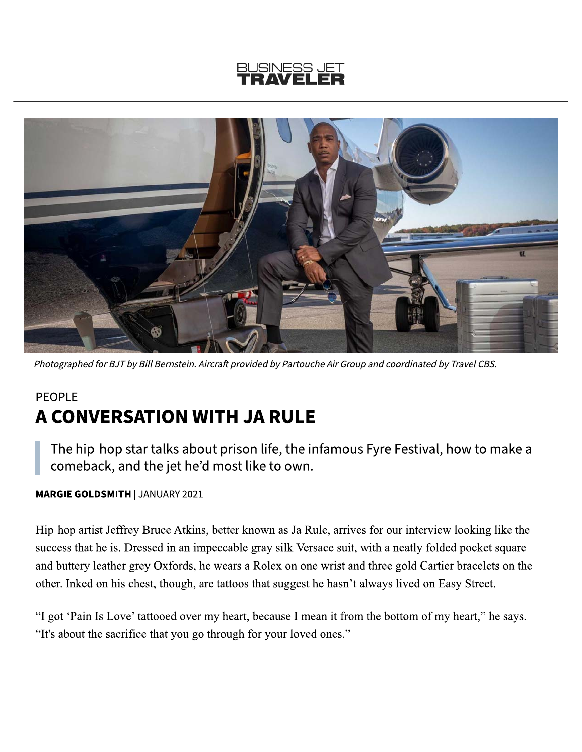



Photographed for BJT by Bill Bernstein. Aircraft provided by Partouche Air Group and coordinated by Travel CBS.

# **PEOPLE A CONVERSATION WITH JA RULE**

The hip-hop star talks about prison life, the infamous Fyre Festival, how to make a comeback, and the jet he'd most like to own.

## **MARGIE GOLDSMITH | JANUARY 2021**

Hip-hop artist Jeffrey Bruce Atkins, better known as Ja Rule, arrives for our interview looking like the success that he is. Dressed in an impeccable gray silk Versace suit, with a neatly folded pocket square and buttery leather grey Oxfords, he wears a Rolex on one wrist and three gold Cartier bracelets on the other. Inked on his chest, though, are tattoos that suggest he hasn't always lived on Easy Street.

"I got 'Pain Is Love' tattooed over my heart, because I mean it from the bottom of my heart," he says. "It's about the sacrifice that you go through for your loved ones."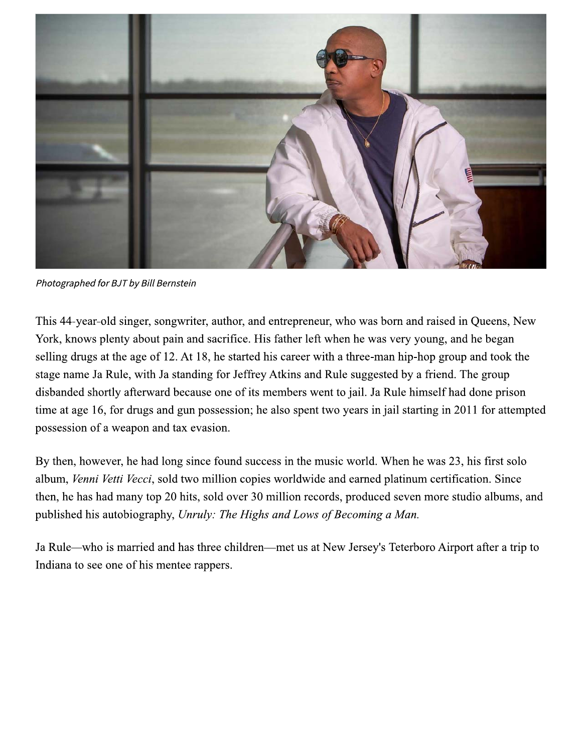

Photographed for BJT by Bill Bernstein

This 44-year-old singer, songwriter, author, and entrepreneur, who was born and raised in Queens, New York, knows plenty about pain and sacrifice. His father left when he was very young, and he began selling drugs at the age of 12. At 18, he started his career with a three-man hip-hop group and took the stage name Ja Rule, with Ja standing for Jeffrey Atkins and Rule suggested by a friend. The group disbanded shortly afterward because one of its members went to jail. Ja Rule himself had done prison time at age 16, for drugs and gun possession; he also spent two years in jail starting in 2011 for attempted possession of a weapon and tax evasion.

By then, however, he had long since found success in the music world. When he was 23, his first solo album, Venni Vetti Vecci, sold two million copies worldwide and earned platinum certification. Since then, he has had many top 20 hits, sold over 30 million records, produced seven more studio albums, and published his autobiography, Unruly: The Highs and Lows of Becoming a Man.

Ja Rule—who is married and has three children—met us at New Jersey's Teterboro Airport after a trip to Indiana to see one of his mentee rappers.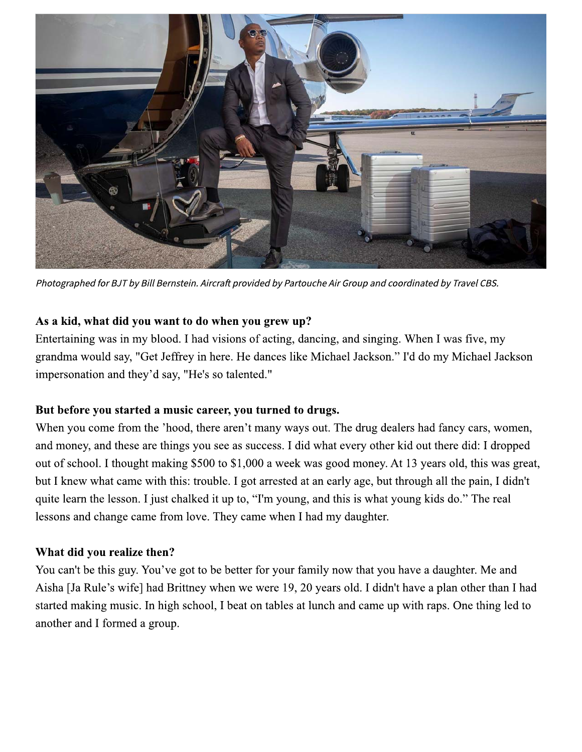

Entertaining was in my blood. I had visions of acting, dancing, and singing. When I was five, my grandma would say, "Get Jeffrey in here. He dances like Michael Jackson." I'd do my Michael Jackson impersonation and they'd say, "He's so talented."

## But before you started a music career, you turned to drugs.

When you come from the 'hood, there aren't many ways out. The drug dealers had fancy cars, women, and money, and these are things you see as success. I did what every other kid out there did: I dropped out of school. I thought making \$500 to \$1,000 a week was good money. At 13 years old, this was great, but I knew what came with this: trouble. I got arrested at an early age, but through all the pain, I didn't quite learn the lesson. I just chalked it up to, "I'm young, and this is what young kids do." The real lessons and change came from love. They came when I had my daughter. and money, and these are things you see as succe<br>out of school. I thought making \$500 to \$1,000 a<br>but I knew what came with this: trouble. I got are<br>quite learn the lesson. I just chalked it up to, "I'm<br>lessons and change

You can't be this guy. You've got to be better for your family now that you have a daughter. Me and Aisha [Ja Rule's wife] had Brittney when we were 19, 20 years old. I didn't have a plan other than I had started making music. In high school, I beat on tables at lunch and came up with raps. One thing led to another and I formed a group.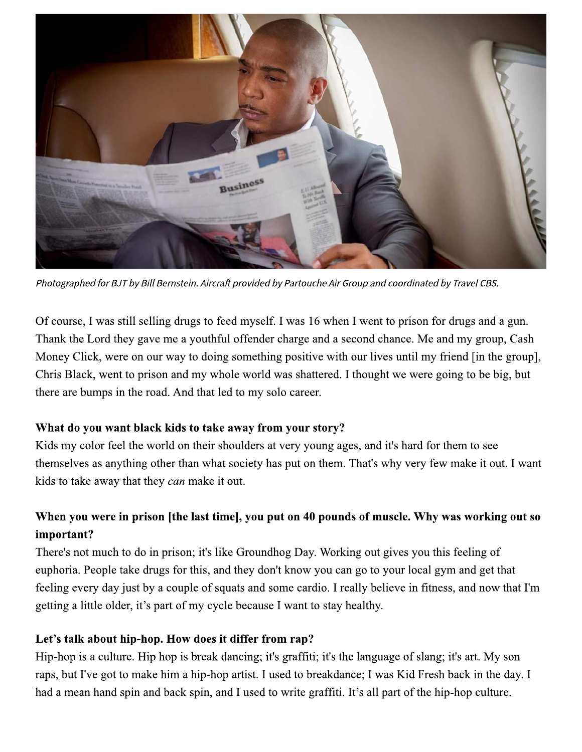

Photographed for BJT by Bill Bernstein. Aircraft provided by Partouche Air Group and coordinated by Travel CBS.

Of course, I was still selling drugs to feed myself. I was 16 when I went to prison for drugs and a gun. Thank the Lord they gave me a youthful offender charge and a second chance. Me and my group, Cash Money Click, were on our way to doing something positive with our lives until my friend [in the group], Chris Black, went to prison and my whole world was shattered. I thought we were going to be big, but there are bumps in the road. And that led to my solo career.

## What do you want black kids to take away from your story?

Kids my color feel the world on their shoulders at very young ages, and it's hard for them to see themselves as anything other than what society has put on them. That's why very few make it out. I want kids to take away that they can make it out.

# When you were in prison [the last time], you put on 40 pounds of muscle. Why was working out so important?

There's not much to do in prison; it's like Groundhog Day. Working out gives you this feeling of euphoria. People take drugs for this, and they don't know you can go to your local gym and get that feeling every day just by a couple of squats and some cardio. I really believe in fitness, and now that I'm getting a little older, it's part of my cycle because I want to stay healthy.

## Let's talk about hip-hop. How does it differ from rap?

Hip-hop is a culture. Hip hop is break dancing; it's graffiti; it's the language of slang; it's art. My son raps, but I've got to make him a hip-hop artist. I used to breakdance; I was Kid Fresh back in the day. I had a mean hand spin and back spin, and I used to write graffiti. It's all part of the hip-hop culture.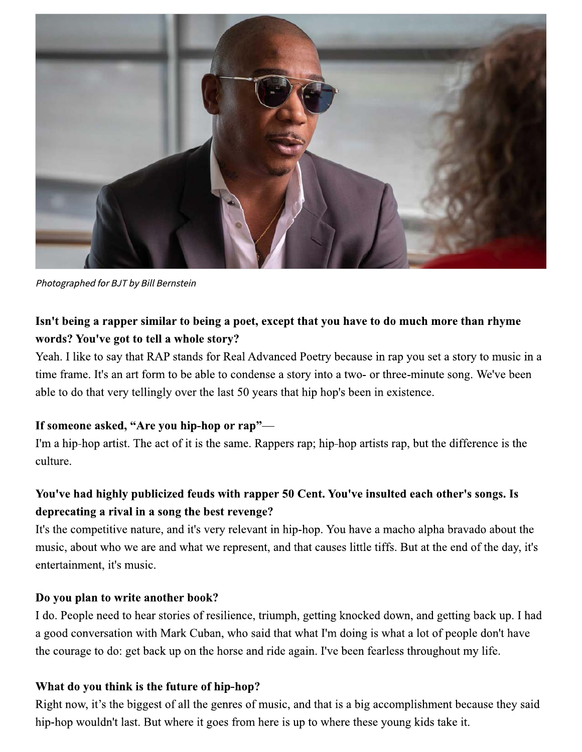

Photographed for BJT by Bill Bernstein

# Isn't being a rapper similar to being a poet, except that you have to do much more than rhyme words? You've got to tell a whole story?

Yeah. I like to say that RAP stands for Real Advanced Poetry because in rap you set a story to music in a time frame. It's an art form to be able to condense a story into a two- or three-minute song. We've been able to do that very tellingly over the last 50 years that hip hop's been in existence.

## If someone asked, "Are you hip-hop or rap"-

I'm a hip-hop artist. The act of it is the same. Rappers rap; hip-hop artists rap, but the difference is the culture.

# You've had highly publicized feuds with rapper 50 Cent. You've insulted each other's songs. Is deprecating a rival in a song the best revenge?

It's the competitive nature, and it's very relevant in hip-hop. You have a macho alpha bravado about the music, about who we are and what we represent, and that causes little tiffs. But at the end of the day, it's entertainment, it's music.

## Do you plan to write another book?

I do. People need to hear stories of resilience, triumph, getting knocked down, and getting back up. I had a good conversation with Mark Cuban, who said that what I'm doing is what a lot of people don't have the courage to do: get back up on the horse and ride again. I've been fearless throughout my life.

### What do you think is the future of hip-hop?

Right now, it's the biggest of all the genres of music, and that is a big accomplishment because they said hip-hop wouldn't last. But where it goes from here is up to where these young kids take it.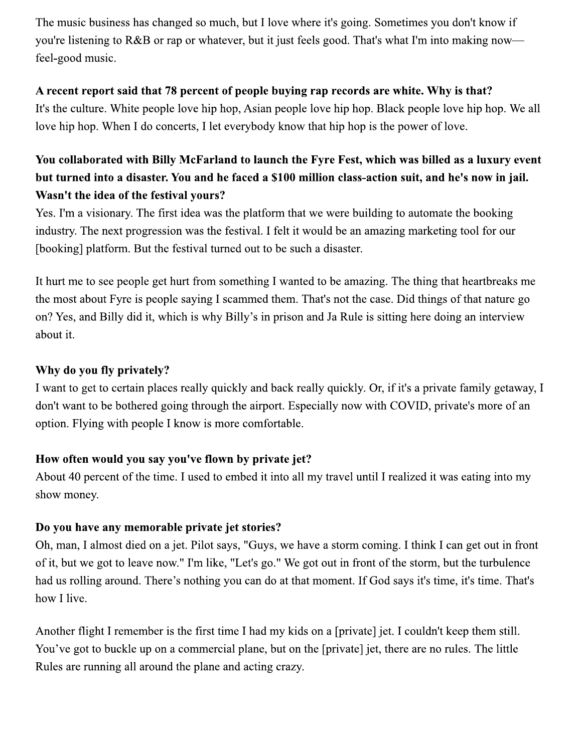The music business has changed so much, but I love where it's going. Sometimes you don't know if you're listening to R&B or rap or whatever, but it just feels good. That's what I'm into making now feel-good music.

## A recent report said that 78 percent of people buying rap records are white. Why is that?

It's the culture. White people love hip hop, Asian people love hip hop. Black people love hip hop. We all love hip hop. When I do concerts, I let everybody know that hip hop is the power of love.

# You collaborated with Billy McFarland to launch the Fyre Fest, which was billed as a luxury event but turned into a disaster. You and he faced a \$100 million class-action suit, and he's now in jail. Wasn't the idea of the festival vours?

Yes. I'm a visionary. The first idea was the platform that we were building to automate the booking industry. The next progression was the festival. I felt it would be an amazing marketing tool for our [booking] platform. But the festival turned out to be such a disaster.

It hurt me to see people get hurt from something I wanted to be amazing. The thing that heartbreaks me the most about Fyre is people saying I scammed them. That's not the case. Did things of that nature go on? Yes, and Billy did it, which is why Billy's in prison and Ja Rule is sitting here doing an interview about it.

## Why do you fly privately?

I want to get to certain places really quickly and back really quickly. Or, if it's a private family getaway, I don't want to be bothered going through the airport. Especially now with COVID, private's more of an option. Flying with people I know is more comfortable.

## How often would you say you've flown by private jet?

About 40 percent of the time. I used to embed it into all my travel until I realized it was eating into my show money.

## Do you have any memorable private jet stories?

Oh, man, I almost died on a jet. Pilot says, "Guys, we have a storm coming. I think I can get out in front of it, but we got to leave now." I'm like, "Let's go." We got out in front of the storm, but the turbulence had us rolling around. There's nothing you can do at that moment. If God says it's time, it's time. That's how I live.

Another flight I remember is the first time I had my kids on a [private] jet. I couldn't keep them still. You've got to buckle up on a commercial plane, but on the [private] jet, there are no rules. The little Rules are running all around the plane and acting crazy.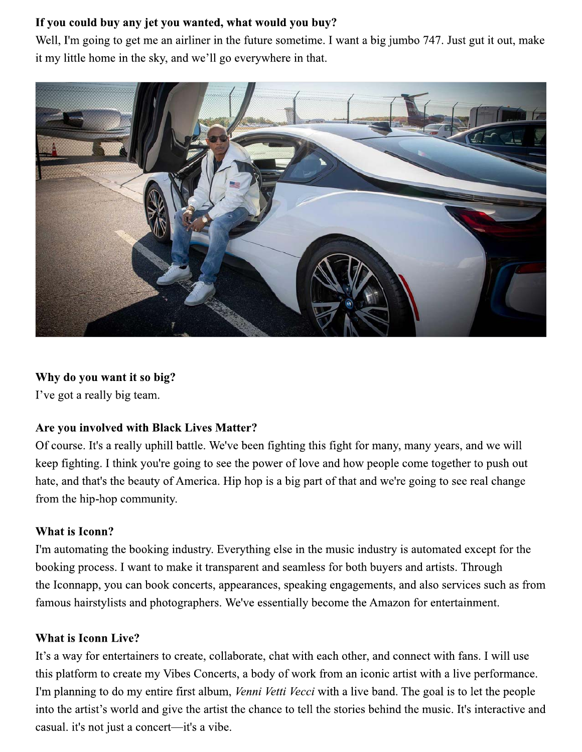## If you could buy any jet you wanted, what would you buy?

Well, I'm going to get me an airliner in the future sometime. I want a big jumbo 747. Just gut it out, make it my little home in the sky, and we'll go everywhere in that.



## Why do you want it so big?

I've got a really big team.

## Are you involved with Black Lives Matter?

Of course. It's a really uphill battle. We've been fighting this fight for many, many years, and we will keep fighting. I think you're going to see the power of love and how people come together to push out hate, and that's the beauty of America. Hip hop is a big part of that and we're going to see real change from the hip-hop community.

## **What is Iconn?**

I'm automating the booking industry. Everything else in the music industry is automated except for the booking process. I want to make it transparent and seamless for both buyers and artists. Through the Iconnapp, you can book concerts, appearances, speaking engagements, and also services such as from famous hairstylists and photographers. We've essentially become the Amazon for entertainment.

## **What is Iconn Live?**

It's a way for entertainers to create, collaborate, chat with each other, and connect with fans. I will use this platform to create my Vibes Concerts, a body of work from an iconic artist with a live performance. I'm planning to do my entire first album, *Venni Vetti Vecci* with a live band. The goal is to let the people into the artist's world and give the artist the chance to tell the stories behind the music. It's interactive and casual. it's not just a concert—it's a vibe.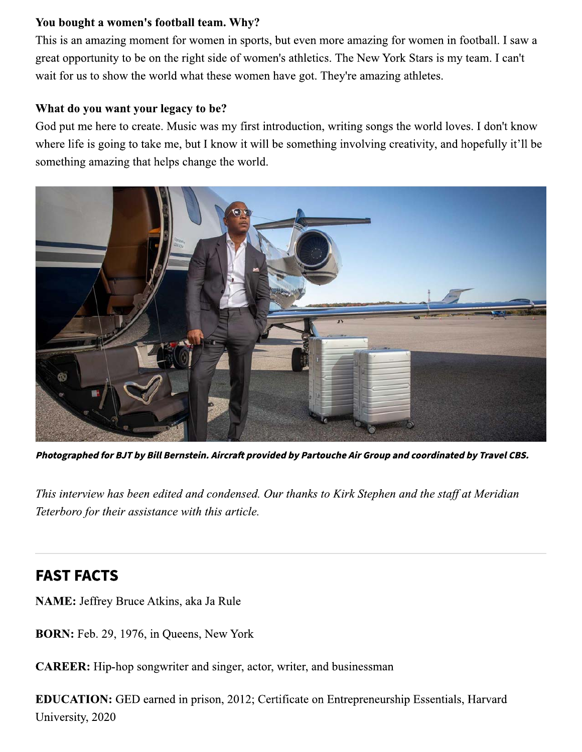## You bought a women's football team. Why?

This is an amazing moment for women in sports, but even more amazing for women in football. I saw a great opportunity to be on the right side of women's athletics. The New York Stars is my team. I can't wait for us to show the world what these women have got. They're amazing athletes.

## What do you want your legacy to be?

God put me here to create. Music was my first introduction, writing songs the world loves. I don't know where life is going to take me, but I know it will be something involving creativity, and hopefully it'll be something amazing that helps change the world.



Photographed for BJT by Bill Bernstein. Aircraft provided by Partouche Air Group and coordinated by Travel CBS.

This interview has been edited and condensed. Our thanks to Kirk Stephen and the staff at Meridian Teterboro for their assistance with this article.

# **FAST FACTS**

**NAME:** Jeffrey Bruce Atkins, aka Ja Rule

BORN: Feb. 29, 1976, in Queens, New York

**CAREER:** Hip-hop songwriter and singer, actor, writer, and businessman

**EDUCATION:** GED earned in prison, 2012; Certificate on Entrepreneurship Essentials, Harvard University, 2020